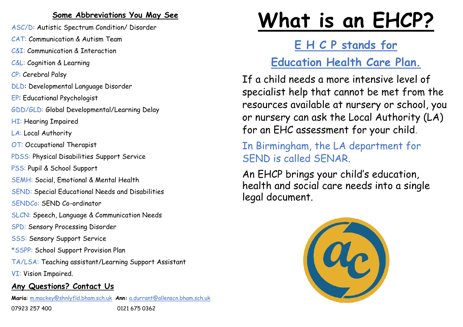#### **Some Abbreviations You May See**

- ASC/D: Autistic Spectrum Condition/ Disorder
- CAT: Communication & Autism Team
- C&I: Communication & Interaction
- C&L: Cognition & Learning
- CP: Cerebral Palsy
- DLD: Developmental Language Disorder
- EP: Educational Psychologist
- GDD/GLD: Global Developmental/Learning Delay
- HI: Hearing Impaired
- LA: Local Authority
- OT: Occupational Therapist
- PDSS: Physical Disabilities Support Service
- PSS: Pupil & School Support
- SEMH: Social, Emotional & Mental Health
- SEND: Special Educational Needs and Disabilities
- SENDCo: SEND Co-ordinator
- SLCN: Speech, Language & Communication Needs
- SPD: Sensory Processing Disorder
- SSS: Sensory Support Service
- \*SSPP: School Support Provision Plan
- TA/LSA: Teaching assistant/Learning Support Assistant
- VI: Vision Impaired.

#### **Any Questions? Contact Us**

**Maria**: [m.mackey@shnlyfld.bham.sch.uk](mailto:m.mackey@shnlyfld.bham.sch.uk) **Ann:** [a.durrant@allenscn.bham.sch.uk](mailto:a.durrant@allenscn.bham.sch.uk) 

07923 257 400 0121 675 0362

# **What is an EHCP?**

**E H C P stands for**

# **Education Health Care Plan.**

If a child needs a more intensive level of specialist help that cannot be met from the resources available at nursery or school, you or nursery can ask the Local Authority (LA) for an EHC assessment for your child.

In Birmingham, the LA department for SEND is called SENAR.

An EHCP brings your child's education, health and social care needs into a single legal document.